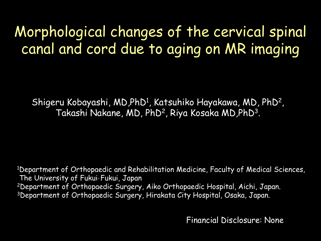Morphological changes of the cervical spinal canal and cord due to aging on MR imaging

Shigeru Kobayashi, MD, PhD<sup>1</sup>, Katsuhiko Hayakawa, MD, PhD<sup>2</sup>, Takashi Nakane, MD, PhD<sup>2</sup>, Riya Kosaka MD, PhD<sup>3</sup>.

Department of Orthopaedic and Rehabilitation Medicine, Faculty of Medical Sciences, The University of Fukui, Fukui, Japan Department of Orthopaedic Surgery, Aiko Orthopaedic Hospital, Aichi, Japan. Department of Orthopaedic Surgery, Hirakata City Hospital, Osaka, Japan.

Financial Disclosure: None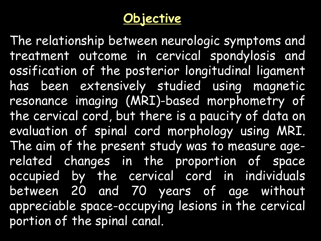## **Objective**

The relationship between neurologic symptoms and treatment outcome in cervical spondylosis and ossification of the posterior longitudinal ligament has been extensively studied using magnetic resonance imaging (MRI)-based morphometry of the cervical cord, but there is a paucity of data on evaluation of spinal cord morphology using MRI. The aim of the present study was to measure agerelated changes in the proportion of space occupied by the cervical cord in individuals between 20 and 70 years of age without appreciable space-occupying lesions in the cervical portion of the spinal canal.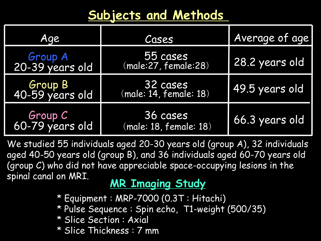## **Subjects and Methods**

| Age                        | Cases                              | Average of age |
|----------------------------|------------------------------------|----------------|
| Group A<br>20-39 years old | 55 cases<br>(male:27, female:28)   | 28.2 years old |
| Group B<br>40-59 years old | 32 cases<br>(male: 14, female: 18) | 49.5 years old |
| Group C<br>60-79 years old | 36 cases<br>(male: 18, female: 18) | 66.3 years old |

We studied 55 individuals aged 20-30 years old (group A), 32 individuals aged 40-50 years old (group B), and 36 individuals aged 60-70 years old (group C) who did not have appreciable space-occupying lesions in the spinal canal on MRI.

#### **MR Imaging Study**

- \* Equipment : MRP-7000 (0.3T : Hitachi)
- \* Pulse Sequence : Spin echo, T1-weight (500/35)
- \* Slice Section : Axial
- \* Slice Thickness : 7 mm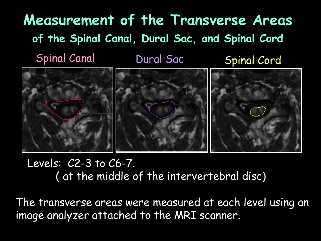# Spinal Canal Dural Sac Spinal Cord **Measurement of the Transverse Areas of the Spinal Canal, Dural Sac, and Spinal Cord**



#### Levels: C2-3 to C6-7. ( at the middle of the intervertebral disc)

The transverse areas were measured at each level using an image analyzer attached to the MRI scanner.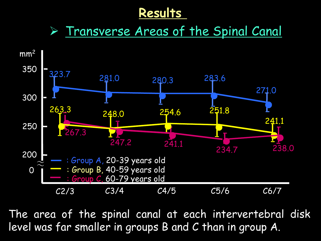#### **Results**

 $\triangleright$  Transverse Areas of the Spinal Canal



The area of the spinal canal at each intervertebral disk level was far smaller in groups B and C than in group A.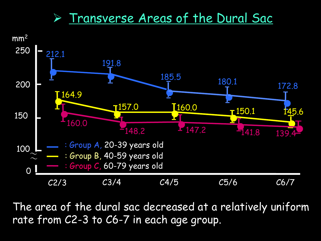#### $\triangleright$  Transverse Areas of the Dural Sac



The area of the dural sac decreased at a relatively uniform rate from C2-3 to C6-7 in each age group.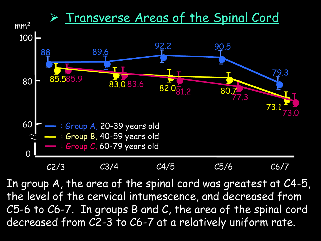

In group A, the area of the spinal cord was greatest at C4-5, the level of the cervical intumescence, and decreased from C5-6 to C6-7. In groups B and C, the area of the spinal cord decreased from C2-3 to C6-7 at a relatively uniform rate.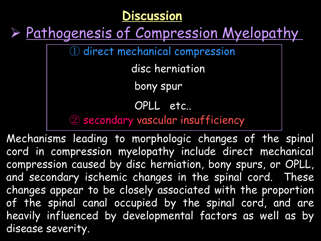#### **Discussion**

# Pathogenesis of Compression Myelopathy

<sup>①</sup> direct mechanical compression

disc herniation

bony spur

OPLL etc..

② secondary vascular insufficiency

Mechanisms leading to morphologic changes of the spinal cord in compression myelopathy include direct mechanical compression caused by disc herniation, bony spurs, or OPLL, and secondary ischemic changes in the spinal cord. These changes appear to be closely associated with the proportion of the spinal canal occupied by the spinal cord, and are heavily influenced by developmental factors as well as by disease severity.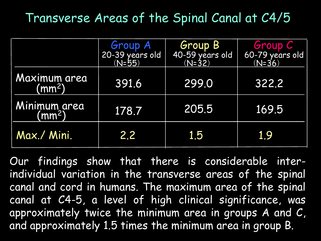### Transverse Areas of the Spinal Canal at C4/5

|                                           | Group A<br>20-39 years old<br>$(N=55)$ | <b>Group B</b><br>40-59 years old<br>$(N=32)$ | $\frac{Group}{100}$<br>60-79 years old<br>(N=36) |
|-------------------------------------------|----------------------------------------|-----------------------------------------------|--------------------------------------------------|
| Maximum area<br>$\sim$ (mm <sup>2</sup> ) | 391.6                                  | 299.0                                         | 322.2                                            |
| Minimum area<br>(mm <sup>2</sup> )        | 178.7                                  | 205.5                                         | 169.5                                            |
| Max./ Mini.                               | $\overline{2.2}$                       | 1.5                                           | 1.9                                              |

Our findings show that there is considerable interindividual variation in the transverse areas of the spinal canal and cord in humans. The maximum area of the spinal canal at C4-5, a level of high clinical significance, was approximately twice the minimum area in groups A and C, and approximately 1.5 times the minimum area in group B.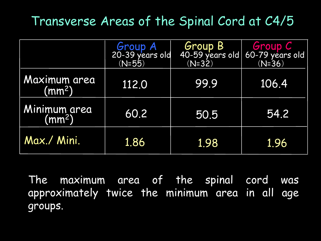## Transverse Areas of the Spinal Cord at C4/5

|                                            | Group A<br>20-39 years old<br>$(N=55)$ | $\begin{array}{c c} \textbf{Group B} \\ \textbf{40-59 years old} \\ \textbf{(N=32)} \end{array}$ | Group C<br>60-79 years old<br>$(N=36)$ |
|--------------------------------------------|----------------------------------------|--------------------------------------------------------------------------------------------------|----------------------------------------|
| Maximum area<br>$\left(\text{mm}^2\right)$ | 112.0                                  | 99.9                                                                                             | 106.4                                  |
| Minimum area<br>$\left(\text{mm}^2\right)$ | 60.2                                   | 50.5                                                                                             | 54.2                                   |
| Max./ Mini.                                | 1.86                                   | 1.98                                                                                             | 1.96                                   |

The maximum area of the spinal cord was approximately twice the minimum area in all age groups.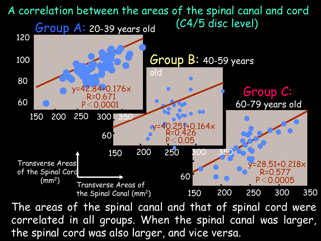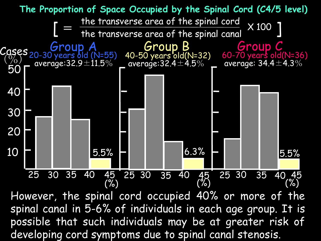